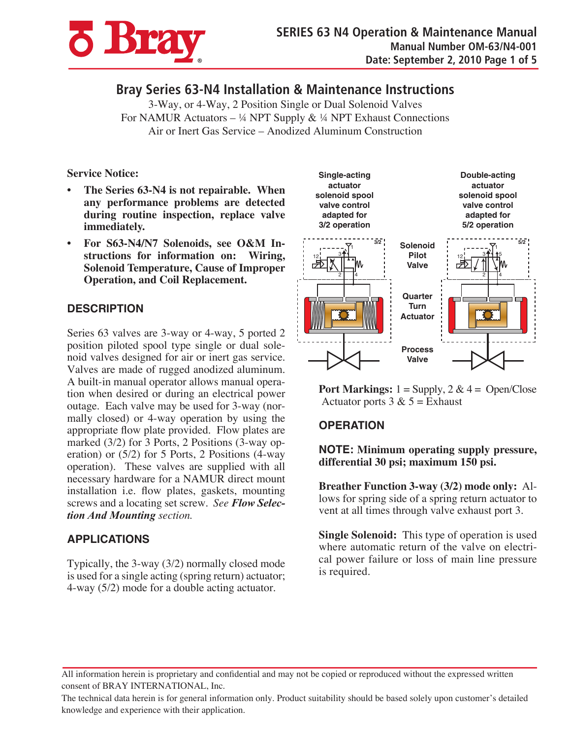

# **Bray Series 63-N4 Installation & Maintenance Instructions**

3-Way, or 4-Way, 2 Position Single or Dual Solenoid Valves For NAMUR Actuators – ¼ NPT Supply & ¼ NPT Exhaust Connections Air or Inert Gas Service – Anodized Aluminum Construction

#### **Service Notice:**

- **The Series 63-N4 is not repairable. When any performance problems are detected during routine inspection, replace valve immediately.**
- For S63-N4/N7 Solenoids, see O&M In**structions for information on: Wiring, Solenoid Temperature, Cause of Improper Operation, and Coil Replacement.**

## **DESCRIPTION**

Series 63 valves are 3-way or 4-way, 5 ported 2 position piloted spool type single or dual solenoid valves designed for air or inert gas service. Valves are made of rugged anodized aluminum. A built-in manual operator allows manual operation when desired or during an electrical power outage. Each valve may be used for 3-way (normally closed) or 4-way operation by using the appropriate flow plate provided. Flow plates are marked (3/2) for 3 Ports, 2 Positions (3-way operation) or (5/2) for 5 Ports, 2 Positions (4-way operation). These valves are supplied with all necessary hardware for a NAMUR direct mount installation i.e. flow plates, gaskets, mounting screws and a locating set screw. *See Flow Selection And Mounting section.*

# **APPLICATIONS**

Typically, the 3-way (3/2) normally closed mode is used for a single acting (spring return) actuator; 4-way (5/2) mode for a double acting actuator.



**Port Markings:**  $1 =$  Supply,  $2 \& 4 =$  Open/Close Actuator ports  $3 & 5 =$  Exhaust

# **OPERATION**

**NOTE: Minimum operating supply pressure, differential 30 psi; maximum 150 psi.**

**Breather Function 3-way (3/2) mode only:** Allows for spring side of a spring return actuator to vent at all times through valve exhaust port 3.

**Single Solenoid:** This type of operation is used where automatic return of the valve on electrical power failure or loss of main line pressure is required.

All information herein is proprietary and confidential and may not be copied or reproduced without the expressed written consent of BRAY INTERNATIONAL, Inc.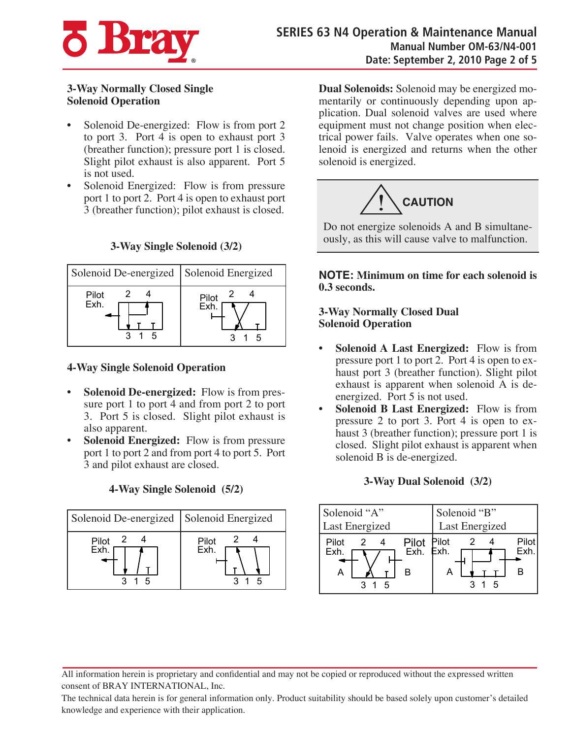

#### **3-Way Normally Closed Single Solenoid Operation**

- Solenoid De-energized: Flow is from port 2 to port 3. Port 4 is open to exhaust port 3 (breather function); pressure port 1 is closed. Slight pilot exhaust is also apparent. Port 5 is not used.
- Solenoid Energized: Flow is from pressure port 1 to port 2. Port 4 is open to exhaust port 3 (breather function); pilot exhaust is closed.

#### **3-Way Single Solenoid (3/2)**

| Solenoid De-energized Solenoid Energized |              |
|------------------------------------------|--------------|
| Pilot<br>Exh.<br>г,                      | Pilot<br>Exh |

#### **4-Way Single Solenoid Operation**

- **Solenoid De-energized:** Flow is from pressure port 1 to port 4 and from port 2 to port 3. Port 5 is closed. Slight pilot exhaust is also apparent.
- **Solenoid Energized:** Flow is from pressure port 1 to port 2 and from port 4 to port 5. Port 3 and pilot exhaust are closed.

# **4-Way Single Solenoid (5/2)**



**Dual Solenoids:** Solenoid may be energized momentarily or continuously depending upon application. Dual solenoid valves are used where equipment must not change position when electrical power fails. Valve operates when one solenoid is energized and returns when the other solenoid is energized.



Do not energize solenoids A and B simultaneously, as this will cause valve to malfunction.

**NOTE: Minimum on time for each solenoid is 0.3 seconds.**

#### **3-Way Normally Closed Dual Solenoid Operation**

- **Solenoid A Last Energized:** Flow is from pressure port 1 to port 2. Port 4 is open to exhaust port 3 (breather function). Slight pilot exhaust is apparent when solenoid A is deenergized. Port 5 is not used.
- **Solenoid B Last Energized:** Flow is from pressure 2 to port 3. Port 4 is open to exhaust 3 (breather function); pressure port 1 is closed. Slight pilot exhaust is apparent when solenoid B is de-energized.

# **3-Way Dual Solenoid (3/2)**

| Solenoid "A"                                                          | Solenoid "B"       |
|-----------------------------------------------------------------------|--------------------|
| Last Energized                                                        | Last Energized     |
| Pilot Pilot<br>Exh. Exh.<br>Pilot<br>$\overline{2}$<br>Exh.<br>в<br>Α | Pilot<br>Fxh<br>-5 |

All information herein is proprietary and confidential and may not be copied or reproduced without the expressed written consent of BRAY INTERNATIONAL, Inc.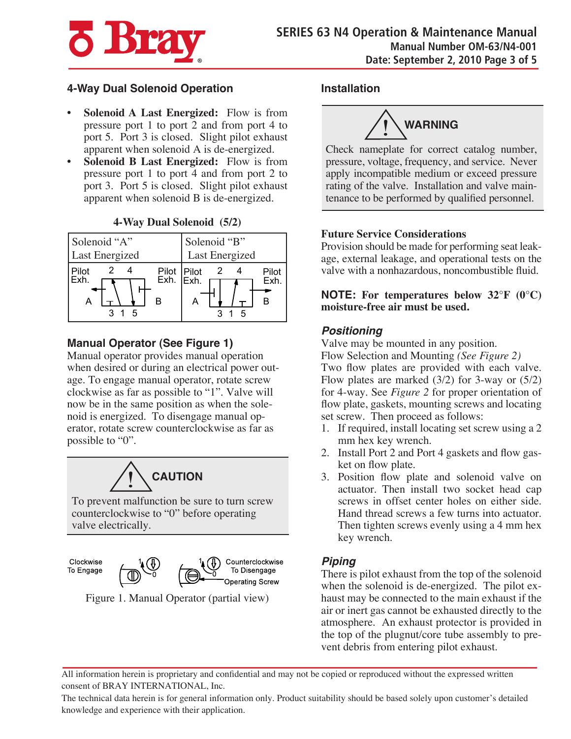

## **4-Way Dual Solenoid Operation**

- **Solenoid A Last Energized:** Flow is from pressure port 1 to port 2 and from port 4 to port 5. Port 3 is closed. Slight pilot exhaust apparent when solenoid A is de-energized.
- **Solenoid B Last Energized:** Flow is from pressure port 1 to port 4 and from port 2 to port 3. Port 5 is closed. Slight pilot exhaust apparent when solenoid B is de-energized.

| Solenoid "A"                                   | Solenoid "B"   |
|------------------------------------------------|----------------|
| Last Energized                                 | Last Energized |
| Pilot Pilot<br>Exh. Exh.<br>Pilot<br>Exh.<br>в | Pilot<br>Exh   |

## **4-Way Dual Solenoid (5/2)**

# **Manual Operator (See Figure 1)**

Manual operator provides manual operation when desired or during an electrical power outage. To engage manual operator, rotate screw clockwise as far as possible to "1". Valve will now be in the same position as when the solenoid is energized. To disengage manual operator, rotate screw counterclockwise as far as possible to "0".



To prevent malfunction be sure to turn screw counterclockwise to "0" before operating valve electrically.

Clockwise To Engage



Figure 1. Manual Operator (partial view)

#### **Installation**



Check nameplate for correct catalog number, pressure, voltage, frequency, and service. Never apply incompatible medium or exceed pressure rating of the valve. Installation and valve maintenance to be performed by qualified personnel.

#### **Future Service Considerations**

Provision should be made for performing seat leakage, external leakage, and operational tests on the valve with a nonhazardous, noncombustible fluid.

**NOTE: For temperatures below 32°F (0°C) moisture-free air must be used.**

## *Positioning*

Valve may be mounted in any position.

Flow Selection and Mounting *(See Figure 2)* Two flow plates are provided with each valve. Flow plates are marked (3/2) for 3-way or (5/2) for 4-way. See *Figure 2* for proper orientation of flow plate, gaskets, mounting screws and locating set screw. Then proceed as follows:

- 1. If required, install locating set screw using a 2 mm hex key wrench.
- 2. Install Port 2 and Port 4 gaskets and flow gasket on flow plate.
- 3. Position flow plate and solenoid valve on actuator. Then install two socket head cap screws in offset center holes on either side. Hand thread screws a few turns into actuator. Then tighten screws evenly using a 4 mm hex key wrench.

# *Piping*

There is pilot exhaust from the top of the solenoid when the solenoid is de-energized. The pilot exhaust may be connected to the main exhaust if the air or inert gas cannot be exhausted directly to the atmosphere. An exhaust protector is provided in the top of the plugnut/core tube assembly to prevent debris from entering pilot exhaust.

All information herein is proprietary and confidential and may not be copied or reproduced without the expressed written consent of BRAY INTERNATIONAL, Inc.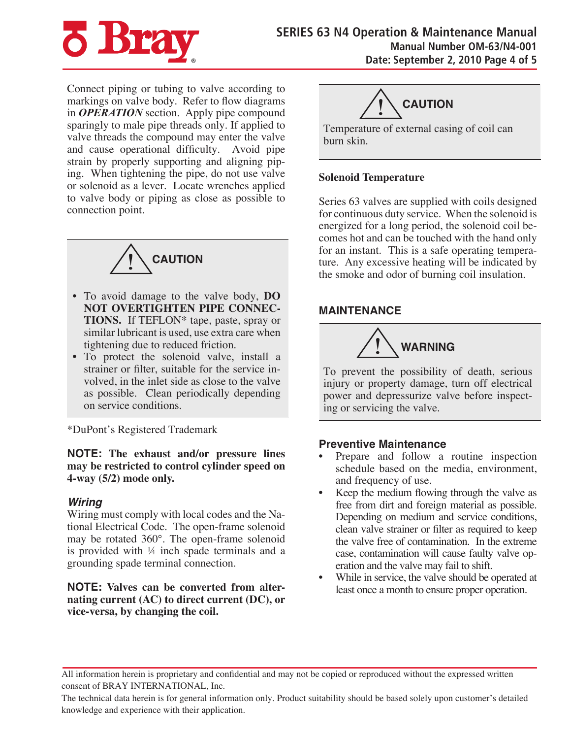

Connect piping or tubing to valve according to markings on valve body. Refer to flow diagrams in *OPERATION* section. Apply pipe compound sparingly to male pipe threads only. If applied to valve threads the compound may enter the valve and cause operational difficulty. Avoid pipe strain by properly supporting and aligning piping. When tightening the pipe, do not use valve or solenoid as a lever. Locate wrenches applied to valve body or piping as close as possible to connection point.



- To avoid damage to the valve body, **DO NOT OVERTIGHTEN PIPE CONNEC-TIONS.** If TEFLON\* tape, paste, spray or similar lubricant is used, use extra care when tightening due to reduced friction.
- To protect the solenoid valve, install a strainer or filter, suitable for the service involved, in the inlet side as close to the valve as possible. Clean periodically depending on service conditions.

\*DuPont's Registered Trademark

**NOTE: The exhaust and/or pressure lines may be restricted to control cylinder speed on 4-way (5/2) mode only.**

## *Wiring*

Wiring must comply with local codes and the National Electrical Code. The open-frame solenoid may be rotated 360°. The open-frame solenoid is provided with ¼ inch spade terminals and a grounding spade terminal connection.

**NOTE: Valves can be converted from alternating current (AC) to direct current (DC), or vice-versa, by changing the coil.**



Temperature of external casing of coil can burn skin.

#### **Solenoid Temperature**

Series 63 valves are supplied with coils designed for continuous duty service. When the solenoid is energized for a long period, the solenoid coil becomes hot and can be touched with the hand only for an instant. This is a safe operating temperature. Any excessive heating will be indicated by the smoke and odor of burning coil insulation.

## **MAINTENANCE**



To prevent the possibility of death, serious injury or property damage, turn off electrical power and depressurize valve before inspecting or servicing the valve.

## **Preventive Maintenance**

- Prepare and follow a routine inspection schedule based on the media, environment, and frequency of use.
- Keep the medium flowing through the valve as free from dirt and foreign material as possible. Depending on medium and service conditions, clean valve strainer or filter as required to keep the valve free of contamination. In the extreme case, contamination will cause faulty valve operation and the valve may fail to shift.
- While in service, the valve should be operated at least once a month to ensure proper operation.

All information herein is proprietary and confidential and may not be copied or reproduced without the expressed written consent of BRAY INTERNATIONAL, Inc.

The technical data herein is for general information only. Product suitability should be based solely upon customer's detailed knowledge and experience with their application.